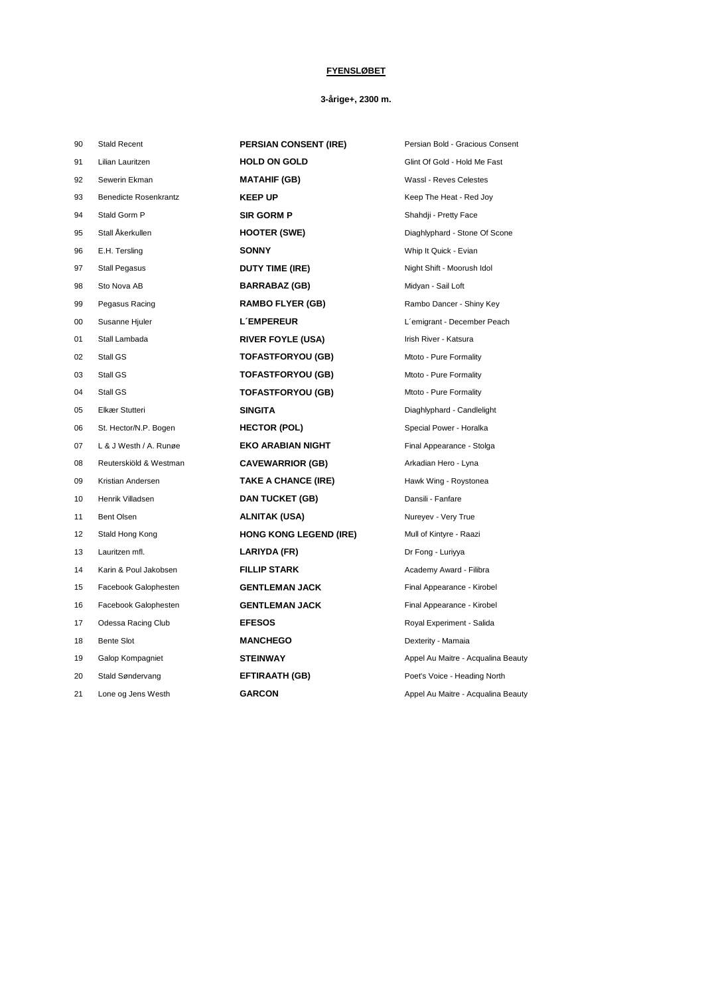## **FYENSLØBET**

## **3-årige+, 2300 m.**

| 90 | <b>Stald Recent</b>          | <b>PERSIAN CONSENT (IRE)</b>  | Persian Bold - Gracious Consent    |
|----|------------------------------|-------------------------------|------------------------------------|
| 91 | Lilian Lauritzen             | <b>HOLD ON GOLD</b>           | Glint Of Gold - Hold Me Fast       |
| 92 | Sewerin Ekman                | <b>MATAHIF (GB)</b>           | Wassl - Reves Celestes             |
| 93 | <b>Benedicte Rosenkrantz</b> | <b>KEEP UP</b>                | Keep The Heat - Red Joy            |
| 94 | Stald Gorm P                 | <b>SIR GORM P</b>             | Shahdji - Pretty Face              |
| 95 | Stall Åkerkullen             | <b>HOOTER (SWE)</b>           | Diaghlyphard - Stone Of Scone      |
| 96 | E.H. Tersling                | <b>SONNY</b>                  | Whip It Quick - Evian              |
| 97 | <b>Stall Pegasus</b>         | <b>DUTY TIME (IRE)</b>        | Night Shift - Moorush Idol         |
| 98 | Sto Nova AB                  | <b>BARRABAZ (GB)</b>          | Midyan - Sail Loft                 |
| 99 | Pegasus Racing               | <b>RAMBO FLYER (GB)</b>       | Rambo Dancer - Shiny Key           |
| 00 | Susanne Hjuler               | <b>L'EMPEREUR</b>             | L'emigrant - December Peach        |
| 01 | Stall Lambada                | <b>RIVER FOYLE (USA)</b>      | Irish River - Katsura              |
| 02 | Stall GS                     | <b>TOFASTFORYOU (GB)</b>      | Mtoto - Pure Formality             |
| 03 | Stall GS                     | <b>TOFASTFORYOU (GB)</b>      | Mtoto - Pure Formality             |
| 04 | Stall GS                     | <b>TOFASTFORYOU (GB)</b>      | Mtoto - Pure Formality             |
| 05 | Elkær Stutteri               | <b>SINGITA</b>                | Diaghlyphard - Candlelight         |
| 06 | St. Hector/N.P. Bogen        | <b>HECTOR (POL)</b>           | Special Power - Horalka            |
| 07 | L & J Westh / A. Runge       | <b>EKO ARABIAN NIGHT</b>      | Final Appearance - Stolga          |
| 08 | Reuterskiöld & Westman       | <b>CAVEWARRIOR (GB)</b>       | Arkadian Hero - Lyna               |
| 09 | Kristian Andersen            | <b>TAKE A CHANCE (IRE)</b>    | Hawk Wing - Roystonea              |
| 10 | Henrik Villadsen             | <b>DAN TUCKET (GB)</b>        | Dansili - Fanfare                  |
| 11 | Bent Olsen                   | <b>ALNITAK (USA)</b>          | Nureyev - Very True                |
| 12 | Stald Hong Kong              | <b>HONG KONG LEGEND (IRE)</b> | Mull of Kintyre - Raazi            |
| 13 | Lauritzen mfl.               | LARIYDA (FR)                  | Dr Fong - Luriyya                  |
| 14 | Karin & Poul Jakobsen        | <b>FILLIP STARK</b>           | Academy Award - Filibra            |
| 15 | Facebook Galophesten         | <b>GENTLEMAN JACK</b>         | Final Appearance - Kirobel         |
| 16 | Facebook Galophesten         | <b>GENTLEMAN JACK</b>         | Final Appearance - Kirobel         |
| 17 | Odessa Racing Club           | <b>EFESOS</b>                 | Royal Experiment - Salida          |
| 18 | <b>Bente Slot</b>            | <b>MANCHEGO</b>               | Dexterity - Mamaia                 |
| 19 | Galop Kompagniet             | <b>STEINWAY</b>               | Appel Au Maitre - Acqualina Beauty |
| 20 | Stald Søndervang             | <b>EFTIRAATH (GB)</b>         | Poet's Voice - Heading North       |
| 21 | Lone og Jens Westh           | <b>GARCON</b>                 | Appel Au Maitre - Acqualina Beauty |